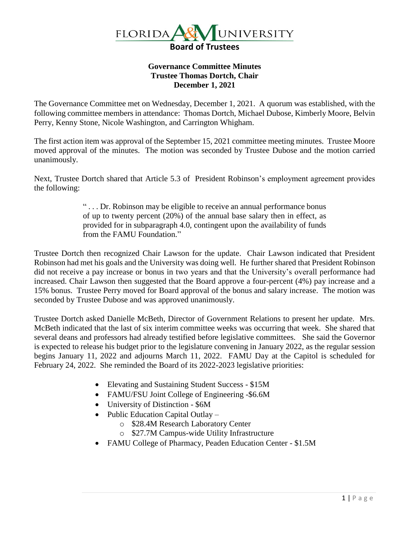

## **Governance Committee Minutes Trustee Thomas Dortch, Chair December 1, 2021**

The Governance Committee met on Wednesday, December 1, 2021. A quorum was established, with the following committee members in attendance: Thomas Dortch, Michael Dubose, Kimberly Moore, Belvin Perry, Kenny Stone, Nicole Washington, and Carrington Whigham.

The first action item was approval of the September 15, 2021 committee meeting minutes. Trustee Moore moved approval of the minutes. The motion was seconded by Trustee Dubose and the motion carried unanimously.

Next, Trustee Dortch shared that Article 5.3 of President Robinson's employment agreement provides the following:

> " . . . Dr. Robinson may be eligible to receive an annual performance bonus of up to twenty percent (20%) of the annual base salary then in effect, as provided for in subparagraph 4.0, contingent upon the availability of funds from the FAMU Foundation."

Trustee Dortch then recognized Chair Lawson for the update. Chair Lawson indicated that President Robinson had met his goals and the University was doing well. He further shared that President Robinson did not receive a pay increase or bonus in two years and that the University's overall performance had increased. Chair Lawson then suggested that the Board approve a four-percent (4%) pay increase and a 15% bonus. Trustee Perry moved for Board approval of the bonus and salary increase. The motion was seconded by Trustee Dubose and was approved unanimously.

Trustee Dortch asked Danielle McBeth, Director of Government Relations to present her update. Mrs. McBeth indicated that the last of six interim committee weeks was occurring that week. She shared that several deans and professors had already testified before legislative committees. She said the Governor is expected to release his budget prior to the legislature convening in January 2022, as the regular session begins January 11, 2022 and adjourns March 11, 2022. FAMU Day at the Capitol is scheduled for February 24, 2022. She reminded the Board of its 2022-2023 legislative priorities:

- Elevating and Sustaining Student Success \$15M
- FAMU/FSU Joint College of Engineering -\$6.6M
- University of Distinction \$6M
- Public Education Capital Outlay
	- o \$28.4M Research Laboratory Center
	- o \$27.7M Campus-wide Utility Infrastructure
- FAMU College of Pharmacy, Peaden Education Center \$1.5M